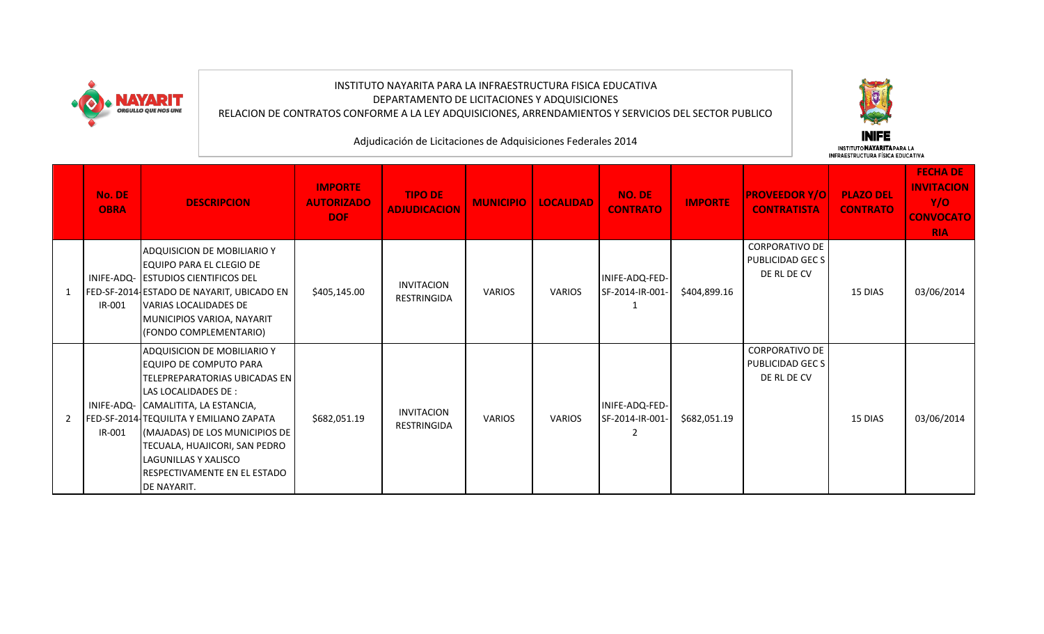

## INSTITUTO NAYARITA PARA LA INFRAESTRUCTURA FISICA EDUCATIVA DEPARTAMENTO DE LICITACIONES Y ADQUISICIONES RELACION DE CONTRATOS CONFORME A LA LEY ADQUISICIONES, ARRENDAMIENTOS Y SERVICIOS DEL SECTOR PUBLICO

Adjudicación de Licitaciones de Adquisiciones Federales 2014

**INIFE** 

|   | <b>No. DE</b><br><b>OBRA</b> | <b>DESCRIPCION</b>                                                                                                                                                                                                                                                                                                                                  | <b>IMPORTE</b><br><b>AUTORIZADO</b><br><b>DOF</b> | <b>TIPO DE</b><br><b>ADJUDICACION</b>   | <b>MUNICIPIO</b> | <b>LOCALIDAD</b> | <b>NO. DE</b><br><b>CONTRATO</b>  | <b>IMPORTE</b> | <b>PROVEEDOR Y/O</b><br><b>CONTRATISTA</b>               | <b>PLAZO DEL</b><br><b>CONTRATO</b> | <b>FECHA DE</b><br><b>INVITACION</b><br>Y/O<br><b>CONVOCATO</b><br><b>RIA</b> |
|---|------------------------------|-----------------------------------------------------------------------------------------------------------------------------------------------------------------------------------------------------------------------------------------------------------------------------------------------------------------------------------------------------|---------------------------------------------------|-----------------------------------------|------------------|------------------|-----------------------------------|----------------|----------------------------------------------------------|-------------------------------------|-------------------------------------------------------------------------------|
| 1 | IR-001                       | <b>ADQUISICION DE MOBILIARIO Y</b><br><b>I</b> EQUIPO PARA EL CLEGIO DE<br>INIFE-ADQ- ESTUDIOS CIENTIFICOS DEL<br>FED-SF-2014-ESTADO DE NAYARIT, UBICADO EN<br><b>VARIAS LOCALIDADES DE</b><br>MUNICIPIOS VARIOA, NAYARIT<br>(FONDO COMPLEMENTARIO)                                                                                                 | \$405,145.00                                      | <b>INVITACION</b><br><b>RESTRINGIDA</b> | <b>VARIOS</b>    | <b>VARIOS</b>    | INIFE-ADQ-FED-<br>SF-2014-IR-001- | \$404,899.16   | <b>CORPORATIVO DE</b><br>PUBLICIDAD GEC S<br>DE RL DE CV | 15 DIAS                             | 03/06/2014                                                                    |
| 2 | IR-001                       | ADQUISICION DE MOBILIARIO Y<br>EQUIPO DE COMPUTO PARA<br><b>ITELEPREPARATORIAS UBICADAS EN</b><br>LAS LOCALIDADES DE :<br>INIFE-ADQ- CAMALITITA, LA ESTANCIA,<br>FED-SF-2014 TEQUILITA Y EMILIANO ZAPATA<br>(MAJADAS) DE LOS MUNICIPIOS DE<br>TECUALA, HUAJICORI, SAN PEDRO<br>llagunillas y xalisco<br>RESPECTIVAMENTE EN EL ESTADO<br>DE NAYARIT. | \$682,051.19                                      | <b>INVITACION</b><br>RESTRINGIDA        | <b>VARIOS</b>    | <b>VARIOS</b>    | INIFE-ADQ-FED-<br>SF-2014-IR-001- | \$682,051.19   | <b>CORPORATIVO DE</b><br>PUBLICIDAD GEC S<br>DE RL DE CV | 15 DIAS                             | 03/06/2014                                                                    |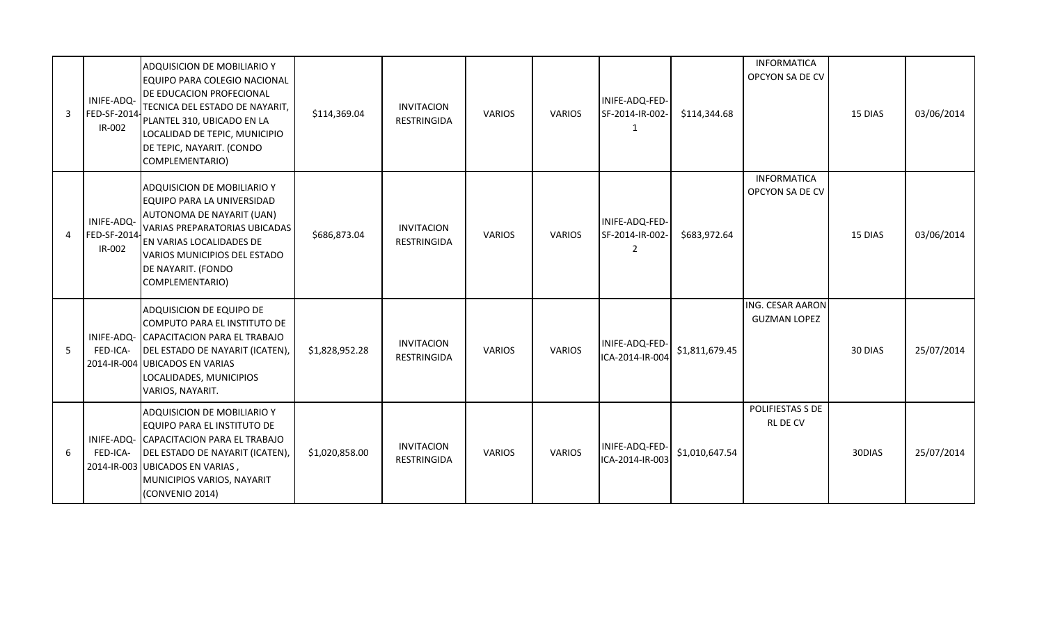| 3              | INIFE-ADQ-<br>FED-SF-2014<br>IR-002 | <b>ADQUISICION DE MOBILIARIO Y</b><br>EQUIPO PARA COLEGIO NACIONAL<br><b>DE EDUCACION PROFECIONAL</b><br>TECNICA DEL ESTADO DE NAYARIT,<br>PLANTEL 310, UBICADO EN LA<br>LOCALIDAD DE TEPIC, MUNICIPIO<br>DE TEPIC, NAYARIT. (CONDO<br>COMPLEMENTARIO) | \$114,369.04   | <b>INVITACION</b><br><b>RESTRINGIDA</b> | <b>VARIOS</b> | VARIOS        | INIFE-ADQ-FED-<br>SF-2014-IR-002-<br>-1             | \$114,344.68   | <b>INFORMATICA</b><br>OPCYON SA DE CV          | 15 DIAS | 03/06/2014 |
|----------------|-------------------------------------|--------------------------------------------------------------------------------------------------------------------------------------------------------------------------------------------------------------------------------------------------------|----------------|-----------------------------------------|---------------|---------------|-----------------------------------------------------|----------------|------------------------------------------------|---------|------------|
| $\overline{4}$ | INIFE-ADQ-<br>FED-SF-2014<br>IR-002 | <b>ADQUISICION DE MOBILIARIO Y</b><br>EQUIPO PARA LA UNIVERSIDAD<br>AUTONOMA DE NAYARIT (UAN)<br><b>VARIAS PREPARATORIAS UBICADAS</b><br>EN VARIAS LOCALIDADES DE<br>VARIOS MUNICIPIOS DEL ESTADO<br>DE NAYARIT. (FONDO<br>COMPLEMENTARIO)             | \$686,873.04   | <b>INVITACION</b><br><b>RESTRINGIDA</b> | <b>VARIOS</b> | <b>VARIOS</b> | INIFE-ADQ-FED-<br>SF-2014-IR-002-<br>$\overline{2}$ | \$683,972.64   | <b>INFORMATICA</b><br>OPCYON SA DE CV          | 15 DIAS | 03/06/2014 |
| 5              | INIFE-ADQ-<br>FED-ICA-              | ADQUISICION DE EQUIPO DE<br>COMPUTO PARA EL INSTITUTO DE<br>CAPACITACION PARA EL TRABAJO<br>DEL ESTADO DE NAYARIT (ICATEN),<br>2014-IR-004 UBICADOS EN VARIAS<br>LOCALIDADES, MUNICIPIOS<br>VARIOS, NAYARIT.                                           | \$1,828,952.28 | <b>INVITACION</b><br><b>RESTRINGIDA</b> | <b>VARIOS</b> | <b>VARIOS</b> | INIFE-ADQ-FED-<br>ICA-2014-IR-004                   | \$1,811,679.45 | <b>ING. CESAR AARON</b><br><b>GUZMAN LOPEZ</b> | 30 DIAS | 25/07/2014 |
| 6              | FED-ICA-                            | <b>ADQUISICION DE MOBILIARIO Y</b><br>EQUIPO PARA EL INSTITUTO DE<br>INIFE-ADQ- CAPACITACION PARA EL TRABAJO<br><b>DEL ESTADO DE NAYARIT (ICATEN),</b><br>2014-IR-003 UBICADOS EN VARIAS,<br>MUNICIPIOS VARIOS, NAYARIT<br>(CONVENIO 2014)             | \$1,020,858.00 | <b>INVITACION</b><br><b>RESTRINGIDA</b> | <b>VARIOS</b> | <b>VARIOS</b> | INIFE-ADQ-FED<br>ICA-2014-IR-003                    | \$1,010,647.54 | POLIFIESTAS S DE<br><b>RLDECV</b>              | 30DIAS  | 25/07/2014 |